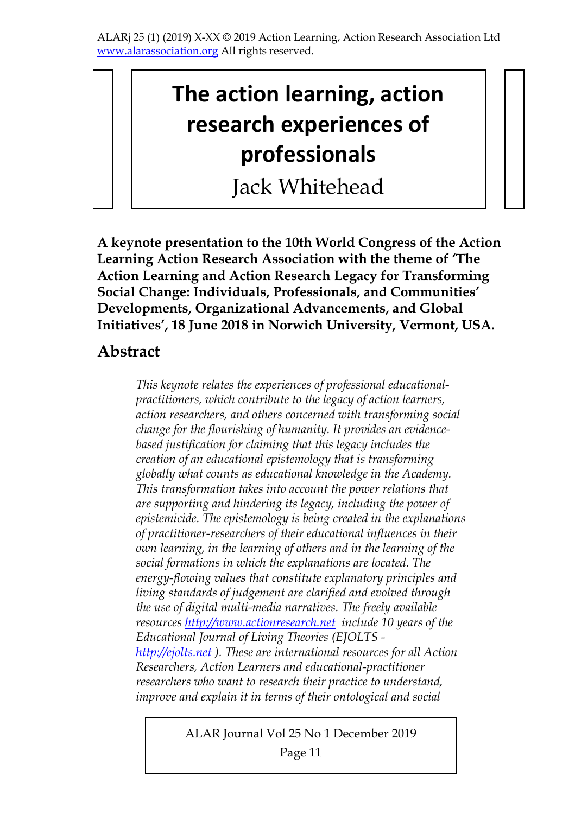# **The action learning, action research experiences of professionals**

Jack Whitehead

**A keynote presentation to the 10th World Congress of the Action Learning Action Research Association with the theme of 'The Action Learning and Action Research Legacy for Transforming Social Change: Individuals, Professionals, and Communities' Developments, Organizational Advancements, and Global Initiatives', 18 June 2018 in Norwich University, Vermont, USA.** 

### **Abstract**

*This keynote relates the experiences of professional educationalpractitioners, which contribute to the legacy of action learners, action researchers, and others concerned with transforming social change for the flourishing of humanity. It provides an evidencebased justification for claiming that this legacy includes the creation of an educational epistemology that is transforming globally what counts as educational knowledge in the Academy. This transformation takes into account the power relations that are supporting and hindering its legacy, including the power of epistemicide. The epistemology is being created in the explanations of practitioner-researchers of their educational influences in their own learning, in the learning of others and in the learning of the social formations in which the explanations are located. The energy-flowing values that constitute explanatory principles and living standards of judgement are clarified and evolved through the use of digital multi-media narratives. The freely available resources http://www.actionresearch.net include 10 years of the Educational Journal of Living Theories (EJOLTS http://ejolts.net ). These are international resources for all Action Researchers, Action Learners and educational-practitioner researchers who want to research their practice to understand, improve and explain it in terms of their ontological and social* 

#### ALAR Journal Vol 25 No 1 December 2019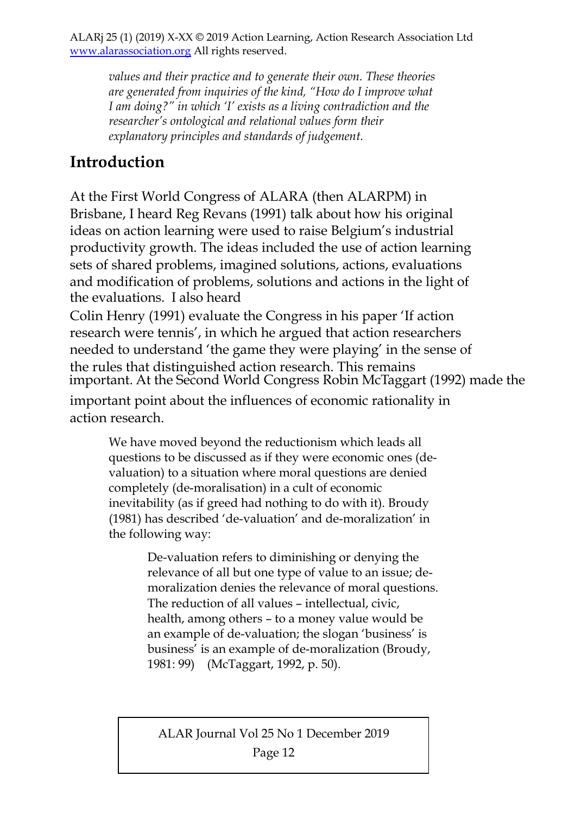*values and their practice and to generate their own. These theories are generated from inquiries of the kind, "How do I improve what I am doing?" in which 'I' exists as a living contradiction and the researcher's ontological and relational values form their explanatory principles and standards of judgement.* 

# **Introduction**

At the First World Congress of ALARA (then ALARPM) in Brisbane, I heard Reg Revans (1991) talk about how his original ideas on action learning were used to raise Belgium's industrial productivity growth. The ideas included the use of action learning sets of shared problems, imagined solutions, actions, evaluations and modification of problems, solutions and actions in the light of the evaluations. I also heard

Colin Henry (1991) evaluate the Congress in his paper 'If action research were tennis', in which he argued that action researchers needed to understand 'the game they were playing' in the sense of the rules that distinguished action research. This remains important point about the influences of economic rationality in action research. important. At the Second World Congress Robin McTaggart (1992) made the

We have moved beyond the reductionism which leads all questions to be discussed as if they were economic ones (devaluation) to a situation where moral questions are denied completely (de-moralisation) in a cult of economic inevitability (as if greed had nothing to do with it). Broudy (1981) has described 'de-valuation' and de-moralization' in the following way:

> De-valuation refers to diminishing or denying the relevance of all but one type of value to an issue; demoralization denies the relevance of moral questions. The reduction of all values – intellectual, civic, health, among others – to a money value would be an example of de-valuation; the slogan 'business' is business' is an example of de-moralization (Broudy, 1981: 99) (McTaggart, 1992, p. 50).

ALAR Journal Vol 25 No 1 December 2019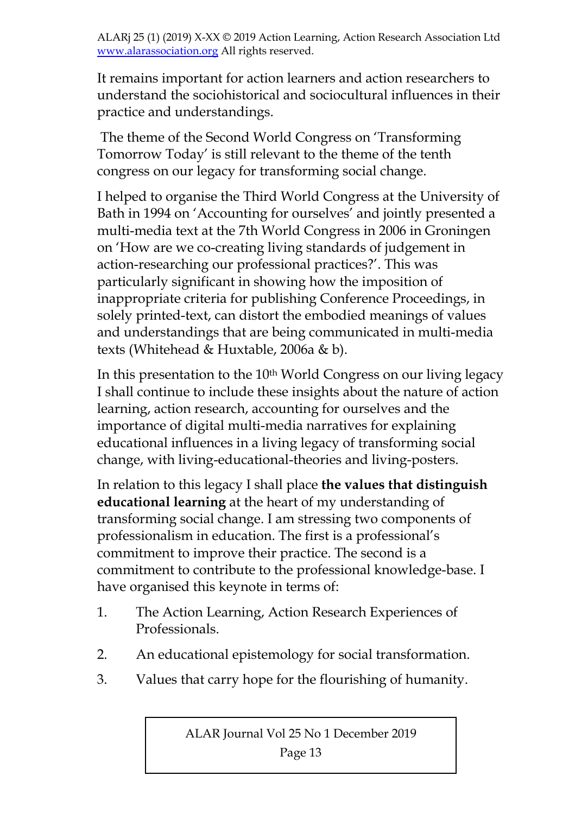It remains important for action learners and action researchers to understand the sociohistorical and sociocultural influences in their practice and understandings.

 The theme of the Second World Congress on 'Transforming Tomorrow Today' is still relevant to the theme of the tenth congress on our legacy for transforming social change.

I helped to organise the Third World Congress at the University of Bath in 1994 on 'Accounting for ourselves' and jointly presented a multi-media text at the 7th World Congress in 2006 in Groningen on 'How are we co-creating living standards of judgement in action-researching our professional practices?'. This was particularly significant in showing how the imposition of inappropriate criteria for publishing Conference Proceedings, in solely printed-text, can distort the embodied meanings of values and understandings that are being communicated in multi-media texts (Whitehead & Huxtable, 2006a & b).

In this presentation to the 10<sup>th</sup> World Congress on our living legacy I shall continue to include these insights about the nature of action learning, action research, accounting for ourselves and the importance of digital multi-media narratives for explaining educational influences in a living legacy of transforming social change, with living-educational-theories and living-posters.

In relation to this legacy I shall place **the values that distinguish educational learning** at the heart of my understanding of transforming social change. I am stressing two components of professionalism in education. The first is a professional's commitment to improve their practice. The second is a commitment to contribute to the professional knowledge-base. I have organised this keynote in terms of:

- 1. The Action Learning, Action Research Experiences of Professionals.
- 2. An educational epistemology for social transformation.
- 3. Values that carry hope for the flourishing of humanity.

ALAR Journal Vol 25 No 1 December 2019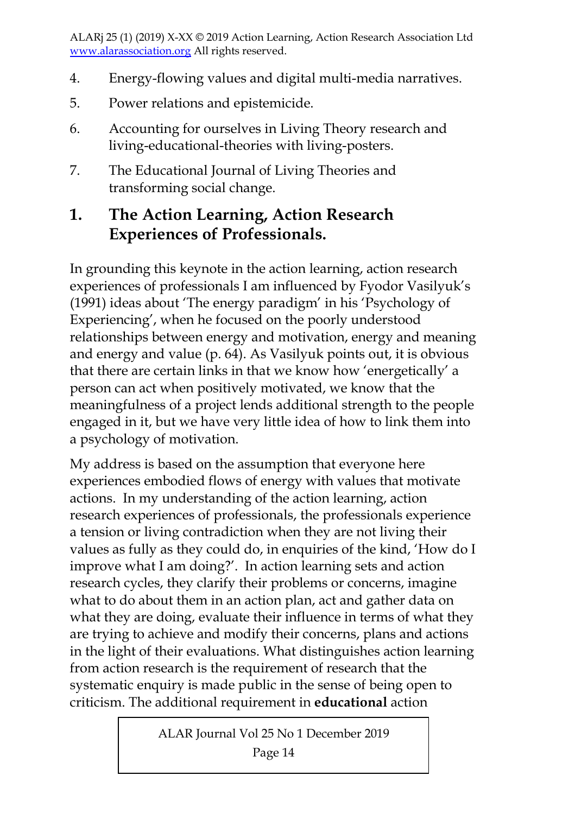- 4. Energy-flowing values and digital multi-media narratives.
- 5. Power relations and epistemicide.
- 6. Accounting for ourselves in Living Theory research and living-educational-theories with living-posters.
- 7. The Educational Journal of Living Theories and transforming social change.

# **1. The Action Learning, Action Research Experiences of Professionals.**

In grounding this keynote in the action learning, action research experiences of professionals I am influenced by Fyodor Vasilyuk's (1991) ideas about 'The energy paradigm' in his 'Psychology of Experiencing', when he focused on the poorly understood relationships between energy and motivation, energy and meaning and energy and value (p. 64). As Vasilyuk points out, it is obvious that there are certain links in that we know how 'energetically' a person can act when positively motivated, we know that the meaningfulness of a project lends additional strength to the people engaged in it, but we have very little idea of how to link them into a psychology of motivation.

My address is based on the assumption that everyone here experiences embodied flows of energy with values that motivate actions. In my understanding of the action learning, action research experiences of professionals, the professionals experience a tension or living contradiction when they are not living their values as fully as they could do, in enquiries of the kind, 'How do I improve what I am doing?'. In action learning sets and action research cycles, they clarify their problems or concerns, imagine what to do about them in an action plan, act and gather data on what they are doing, evaluate their influence in terms of what they are trying to achieve and modify their concerns, plans and actions in the light of their evaluations. What distinguishes action learning from action research is the requirement of research that the systematic enquiry is made public in the sense of being open to criticism. The additional requirement in **educational** action

ALAR Journal Vol 25 No 1 December 2019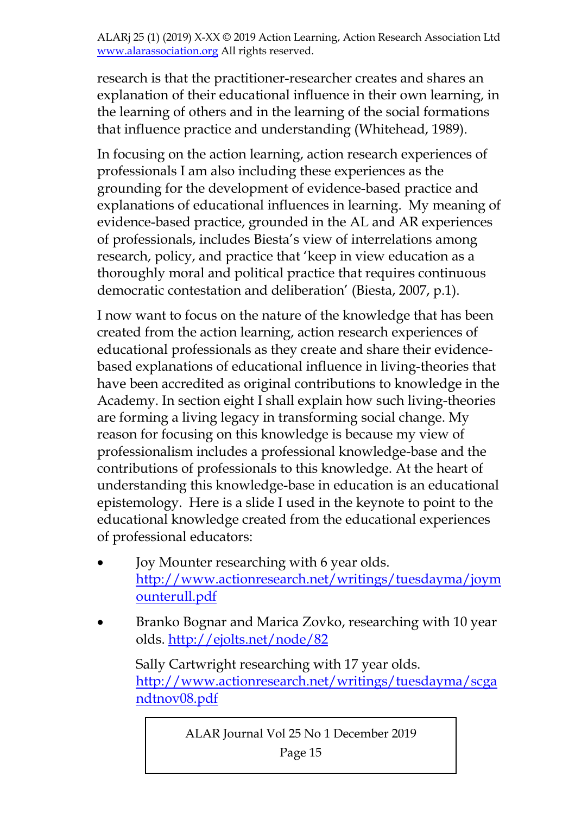research is that the practitioner-researcher creates and shares an explanation of their educational influence in their own learning, in the learning of others and in the learning of the social formations that influence practice and understanding (Whitehead, 1989).

In focusing on the action learning, action research experiences of professionals I am also including these experiences as the grounding for the development of evidence-based practice and explanations of educational influences in learning. My meaning of evidence-based practice, grounded in the AL and AR experiences of professionals, includes Biesta's view of interrelations among research, policy, and practice that 'keep in view education as a thoroughly moral and political practice that requires continuous democratic contestation and deliberation' (Biesta, 2007, p.1).

I now want to focus on the nature of the knowledge that has been created from the action learning, action research experiences of educational professionals as they create and share their evidencebased explanations of educational influence in living-theories that have been accredited as original contributions to knowledge in the Academy. In section eight I shall explain how such living-theories are forming a living legacy in transforming social change. My reason for focusing on this knowledge is because my view of professionalism includes a professional knowledge-base and the contributions of professionals to this knowledge. At the heart of understanding this knowledge-base in education is an educational epistemology. Here is a slide I used in the keynote to point to the educational knowledge created from the educational experiences of professional educators:

- Joy Mounter researching with 6 year olds. http://www.actionresearch.net/writings/tuesdayma/joym ounterull.pdf
- Branko Bognar and Marica Zovko, researching with 10 year olds. http://ejolts.net/node/82

Sally Cartwright researching with 17 year olds. http://www.actionresearch.net/writings/tuesdayma/scga ndtnov08.pdf

ALAR Journal Vol 25 No 1 December 2019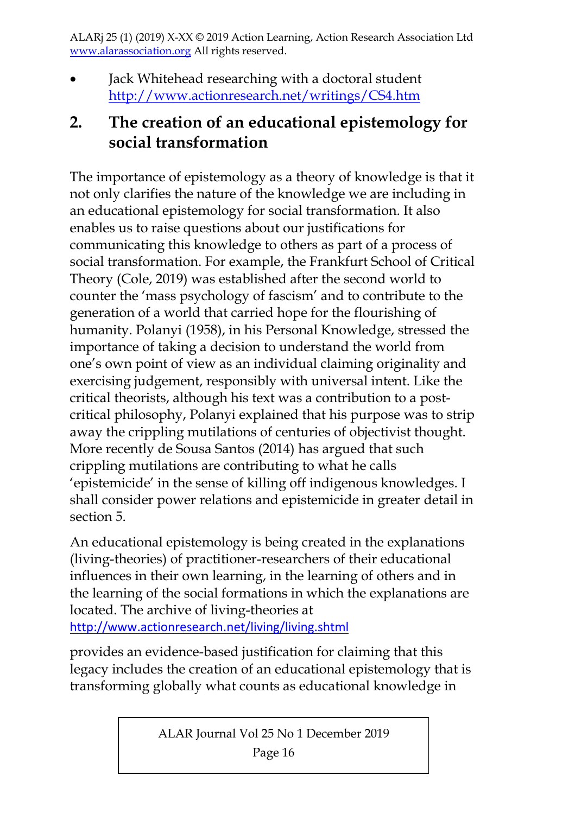Jack Whitehead researching with a doctoral student http://www.actionresearch.net/writings/CS4.htm

# **2. The creation of an educational epistemology for social transformation**

The importance of epistemology as a theory of knowledge is that it not only clarifies the nature of the knowledge we are including in an educational epistemology for social transformation. It also enables us to raise questions about our justifications for communicating this knowledge to others as part of a process of social transformation. For example, the Frankfurt School of Critical Theory (Cole, 2019) was established after the second world to counter the 'mass psychology of fascism' and to contribute to the generation of a world that carried hope for the flourishing of humanity. Polanyi (1958), in his Personal Knowledge, stressed the importance of taking a decision to understand the world from one's own point of view as an individual claiming originality and exercising judgement, responsibly with universal intent. Like the critical theorists, although his text was a contribution to a postcritical philosophy, Polanyi explained that his purpose was to strip away the crippling mutilations of centuries of objectivist thought. More recently de Sousa Santos (2014) has argued that such crippling mutilations are contributing to what he calls 'epistemicide' in the sense of killing off indigenous knowledges. I shall consider power relations and epistemicide in greater detail in section 5.

An educational epistemology is being created in the explanations (living-theories) of practitioner-researchers of their educational influences in their own learning, in the learning of others and in the learning of the social formations in which the explanations are located. The archive of living-theories at http://www.actionresearch.net/living/living.shtml

provides an evidence-based justification for claiming that this legacy includes the creation of an educational epistemology that is transforming globally what counts as educational knowledge in

ALAR Journal Vol 25 No 1 December 2019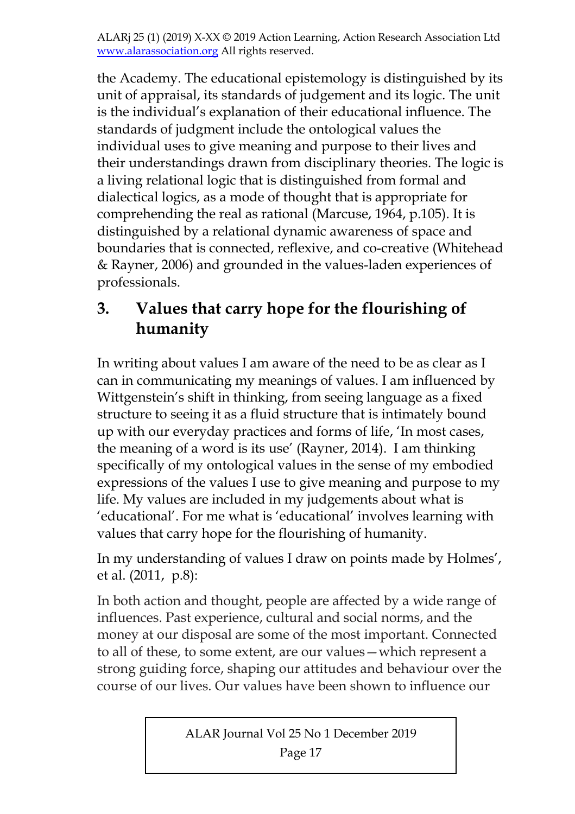the Academy. The educational epistemology is distinguished by its unit of appraisal, its standards of judgement and its logic. The unit is the individual's explanation of their educational influence. The standards of judgment include the ontological values the individual uses to give meaning and purpose to their lives and their understandings drawn from disciplinary theories. The logic is a living relational logic that is distinguished from formal and dialectical logics, as a mode of thought that is appropriate for comprehending the real as rational (Marcuse, 1964, p.105). It is distinguished by a relational dynamic awareness of space and boundaries that is connected, reflexive, and co-creative (Whitehead & Rayner, 2006) and grounded in the values-laden experiences of professionals.

# **3. Values that carry hope for the flourishing of humanity**

In writing about values I am aware of the need to be as clear as I can in communicating my meanings of values. I am influenced by Wittgenstein's shift in thinking, from seeing language as a fixed structure to seeing it as a fluid structure that is intimately bound up with our everyday practices and forms of life, 'In most cases, the meaning of a word is its use' (Rayner, 2014). I am thinking specifically of my ontological values in the sense of my embodied expressions of the values I use to give meaning and purpose to my life. My values are included in my judgements about what is 'educational'. For me what is 'educational' involves learning with values that carry hope for the flourishing of humanity.

In my understanding of values I draw on points made by Holmes', et al. (2011, p.8):

In both action and thought, people are affected by a wide range of influences. Past experience, cultural and social norms, and the money at our disposal are some of the most important. Connected to all of these, to some extent, are our values—which represent a strong guiding force, shaping our attitudes and behaviour over the course of our lives. Our values have been shown to influence our

ALAR Journal Vol 25 No 1 December 2019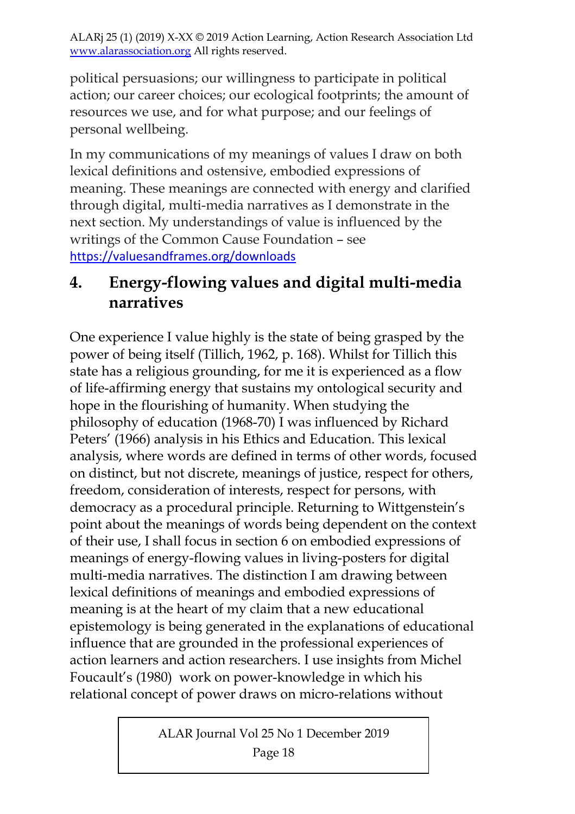political persuasions; our willingness to participate in political action; our career choices; our ecological footprints; the amount of resources we use, and for what purpose; and our feelings of personal wellbeing.

In my communications of my meanings of values I draw on both lexical definitions and ostensive, embodied expressions of meaning. These meanings are connected with energy and clarified through digital, multi-media narratives as I demonstrate in the next section. My understandings of value is influenced by the writings of the Common Cause Foundation – see https://valuesandframes.org/downloads

# **4. Energy-flowing values and digital multi-media narratives**

One experience I value highly is the state of being grasped by the power of being itself (Tillich, 1962, p. 168). Whilst for Tillich this state has a religious grounding, for me it is experienced as a flow of life-affirming energy that sustains my ontological security and hope in the flourishing of humanity. When studying the philosophy of education (1968-70) I was influenced by Richard Peters' (1966) analysis in his Ethics and Education. This lexical analysis, where words are defined in terms of other words, focused on distinct, but not discrete, meanings of justice, respect for others, freedom, consideration of interests, respect for persons, with democracy as a procedural principle. Returning to Wittgenstein's point about the meanings of words being dependent on the context of their use, I shall focus in section 6 on embodied expressions of meanings of energy-flowing values in living-posters for digital multi-media narratives. The distinction I am drawing between lexical definitions of meanings and embodied expressions of meaning is at the heart of my claim that a new educational epistemology is being generated in the explanations of educational influence that are grounded in the professional experiences of action learners and action researchers. I use insights from Michel Foucault's (1980) work on power-knowledge in which his relational concept of power draws on micro-relations without

ALAR Journal Vol 25 No 1 December 2019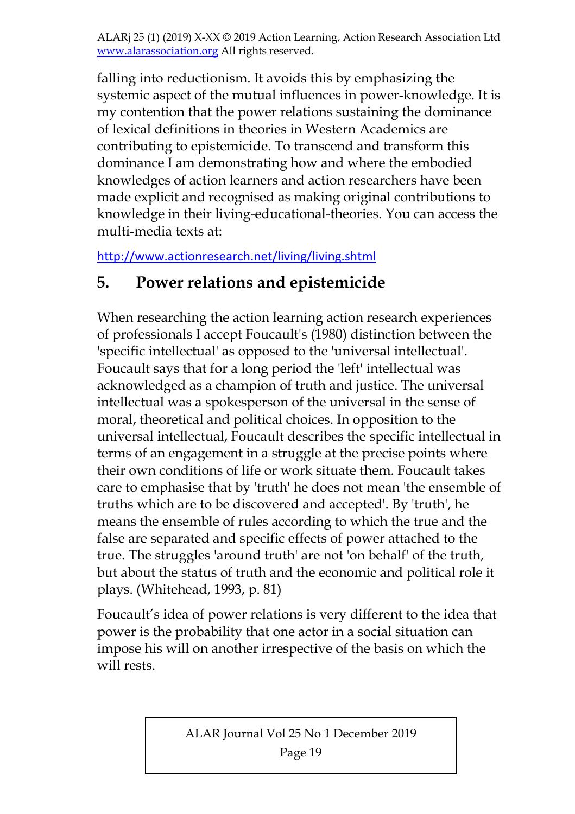falling into reductionism. It avoids this by emphasizing the systemic aspect of the mutual influences in power-knowledge. It is my contention that the power relations sustaining the dominance of lexical definitions in theories in Western Academics are contributing to epistemicide. To transcend and transform this dominance I am demonstrating how and where the embodied knowledges of action learners and action researchers have been made explicit and recognised as making original contributions to knowledge in their living-educational-theories. You can access the multi-media texts at:

http://www.actionresearch.net/living/living.shtml

# **5. Power relations and epistemicide**

When researching the action learning action research experiences of professionals I accept Foucault's (1980) distinction between the 'specific intellectual' as opposed to the 'universal intellectual'. Foucault says that for a long period the 'left' intellectual was acknowledged as a champion of truth and justice. The universal intellectual was a spokesperson of the universal in the sense of moral, theoretical and political choices. In opposition to the universal intellectual, Foucault describes the specific intellectual in terms of an engagement in a struggle at the precise points where their own conditions of life or work situate them. Foucault takes care to emphasise that by 'truth' he does not mean 'the ensemble of truths which are to be discovered and accepted'. By 'truth', he means the ensemble of rules according to which the true and the false are separated and specific effects of power attached to the true. The struggles 'around truth' are not 'on behalf' of the truth, but about the status of truth and the economic and political role it plays. (Whitehead, 1993, p. 81)

Foucault's idea of power relations is very different to the idea that power is the probability that one actor in a social situation can impose his will on another irrespective of the basis on which the will rests.

ALAR Journal Vol 25 No 1 December 2019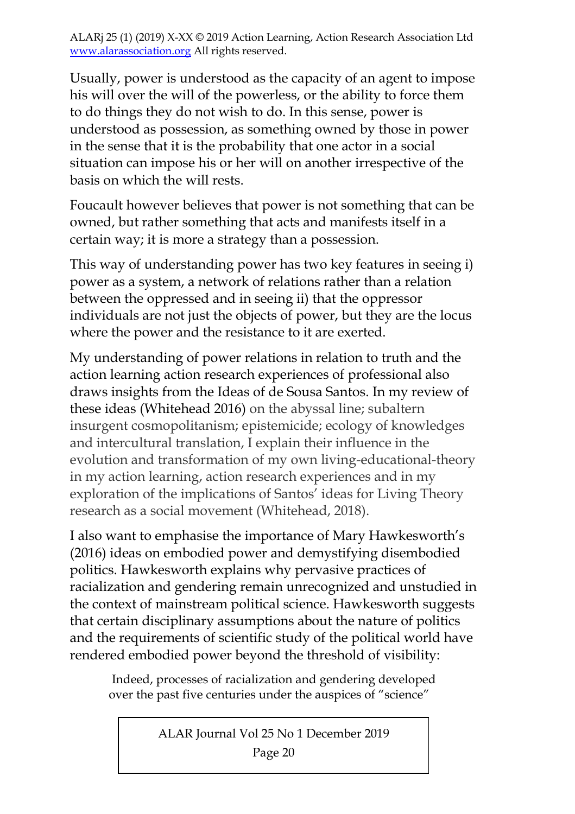Usually, power is understood as the capacity of an agent to impose his will over the will of the powerless, or the ability to force them to do things they do not wish to do. In this sense, power is understood as possession, as something owned by those in power in the sense that it is the probability that one actor in a social situation can impose his or her will on another irrespective of the basis on which the will rests.

Foucault however believes that power is not something that can be owned, but rather something that acts and manifests itself in a certain way; it is more a strategy than a possession.

This way of understanding power has two key features in seeing i) power as a system, a network of relations rather than a relation between the oppressed and in seeing ii) that the oppressor individuals are not just the objects of power, but they are the locus where the power and the resistance to it are exerted.

My understanding of power relations in relation to truth and the action learning action research experiences of professional also draws insights from the Ideas of de Sousa Santos. In my review of these ideas (Whitehead 2016) on the abyssal line; subaltern insurgent cosmopolitanism; epistemicide; ecology of knowledges and intercultural translation, I explain their influence in the evolution and transformation of my own living-educational-theory in my action learning, action research experiences and in my exploration of the implications of Santos' ideas for Living Theory research as a social movement (Whitehead, 2018).

I also want to emphasise the importance of Mary Hawkesworth's (2016) ideas on embodied power and demystifying disembodied politics. Hawkesworth explains why pervasive practices of racialization and gendering remain unrecognized and unstudied in the context of mainstream political science. Hawkesworth suggests that certain disciplinary assumptions about the nature of politics and the requirements of scientific study of the political world have rendered embodied power beyond the threshold of visibility:

 Indeed, processes of racialization and gendering developed over the past five centuries under the auspices of "science"

ALAR Journal Vol 25 No 1 December 2019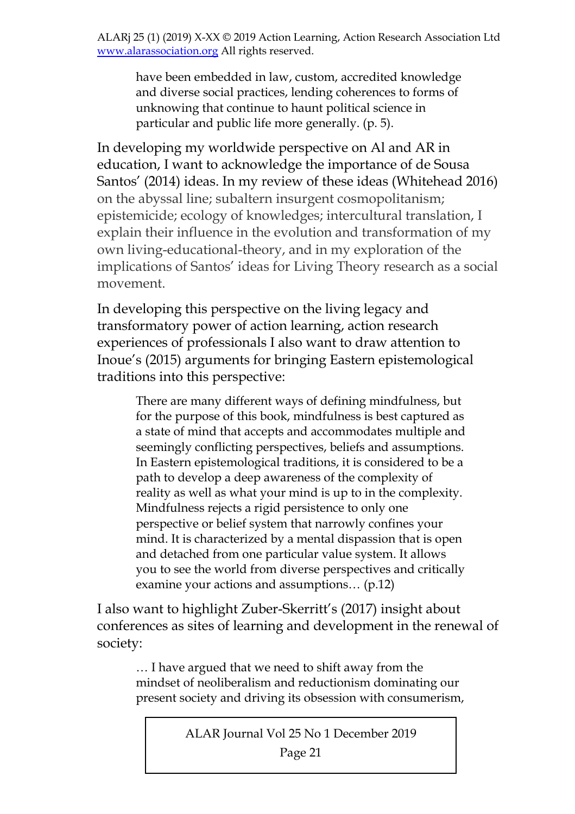have been embedded in law, custom, accredited knowledge and diverse social practices, lending coherences to forms of unknowing that continue to haunt political science in particular and public life more generally. (p. 5).

In developing my worldwide perspective on Al and AR in education, I want to acknowledge the importance of de Sousa Santos' (2014) ideas. In my review of these ideas (Whitehead 2016) on the abyssal line; subaltern insurgent cosmopolitanism; epistemicide; ecology of knowledges; intercultural translation, I explain their influence in the evolution and transformation of my own living-educational-theory, and in my exploration of the implications of Santos' ideas for Living Theory research as a social movement.

In developing this perspective on the living legacy and transformatory power of action learning, action research experiences of professionals I also want to draw attention to Inoue's (2015) arguments for bringing Eastern epistemological traditions into this perspective:

> There are many different ways of defining mindfulness, but for the purpose of this book, mindfulness is best captured as a state of mind that accepts and accommodates multiple and seemingly conflicting perspectives, beliefs and assumptions. In Eastern epistemological traditions, it is considered to be a path to develop a deep awareness of the complexity of reality as well as what your mind is up to in the complexity. Mindfulness rejects a rigid persistence to only one perspective or belief system that narrowly confines your mind. It is characterized by a mental dispassion that is open and detached from one particular value system. It allows you to see the world from diverse perspectives and critically examine your actions and assumptions… (p.12)

I also want to highlight Zuber-Skerritt's (2017) insight about conferences as sites of learning and development in the renewal of society:

… I have argued that we need to shift away from the mindset of neoliberalism and reductionism dominating our present society and driving its obsession with consumerism,

ALAR Journal Vol 25 No 1 December 2019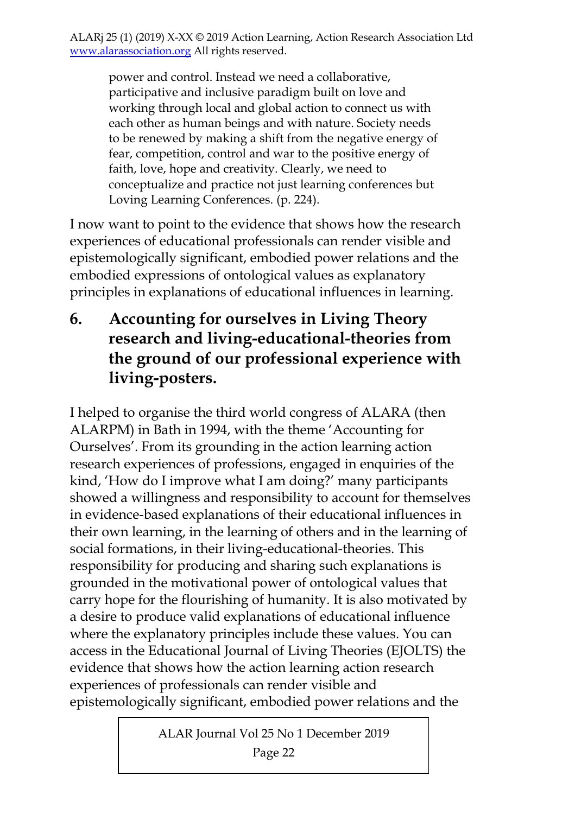power and control. Instead we need a collaborative, participative and inclusive paradigm built on love and working through local and global action to connect us with each other as human beings and with nature. Society needs to be renewed by making a shift from the negative energy of fear, competition, control and war to the positive energy of faith, love, hope and creativity. Clearly, we need to conceptualize and practice not just learning conferences but Loving Learning Conferences. (p. 224).

I now want to point to the evidence that shows how the research experiences of educational professionals can render visible and epistemologically significant, embodied power relations and the embodied expressions of ontological values as explanatory principles in explanations of educational influences in learning.

**6. Accounting for ourselves in Living Theory research and living-educational-theories from the ground of our professional experience with living-posters.** 

I helped to organise the third world congress of ALARA (then ALARPM) in Bath in 1994, with the theme 'Accounting for Ourselves'. From its grounding in the action learning action research experiences of professions, engaged in enquiries of the kind, 'How do I improve what I am doing?' many participants showed a willingness and responsibility to account for themselves in evidence-based explanations of their educational influences in their own learning, in the learning of others and in the learning of social formations, in their living-educational-theories. This responsibility for producing and sharing such explanations is grounded in the motivational power of ontological values that carry hope for the flourishing of humanity. It is also motivated by a desire to produce valid explanations of educational influence where the explanatory principles include these values. You can access in the Educational Journal of Living Theories (EJOLTS) the evidence that shows how the action learning action research experiences of professionals can render visible and epistemologically significant, embodied power relations and the

ALAR Journal Vol 25 No 1 December 2019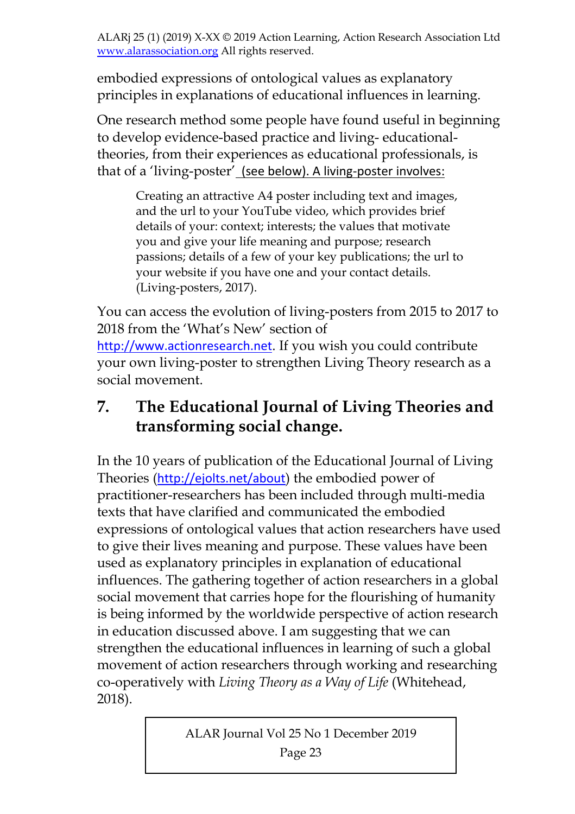embodied expressions of ontological values as explanatory principles in explanations of educational influences in learning.

One research method some people have found useful in beginning to develop evidence-based practice and living- educationaltheories, from their experiences as educational professionals, is that of a 'living-poster' (see below). A living‐poster involves:

Creating an attractive A4 poster including text and images, and the url to your YouTube video, which provides brief details of your: context; interests; the values that motivate you and give your life meaning and purpose; research passions; details of a few of your key publications; the url to your website if you have one and your contact details. (Living-posters, 2017).

You can access the evolution of living-posters from 2015 to 2017 to 2018 from the 'What's New' section of http://www.actionresearch.net. If you wish you could contribute your own living-poster to strengthen Living Theory research as a social movement.

# **7. The Educational Journal of Living Theories and transforming social change.**

In the 10 years of publication of the Educational Journal of Living Theories (http://ejolts.net/about) the embodied power of practitioner-researchers has been included through multi-media texts that have clarified and communicated the embodied expressions of ontological values that action researchers have used to give their lives meaning and purpose. These values have been used as explanatory principles in explanation of educational influences. The gathering together of action researchers in a global social movement that carries hope for the flourishing of humanity is being informed by the worldwide perspective of action research in education discussed above. I am suggesting that we can strengthen the educational influences in learning of such a global movement of action researchers through working and researching co-operatively with *Living Theory as a Way of Life* (Whitehead, 2018).

ALAR Journal Vol 25 No 1 December 2019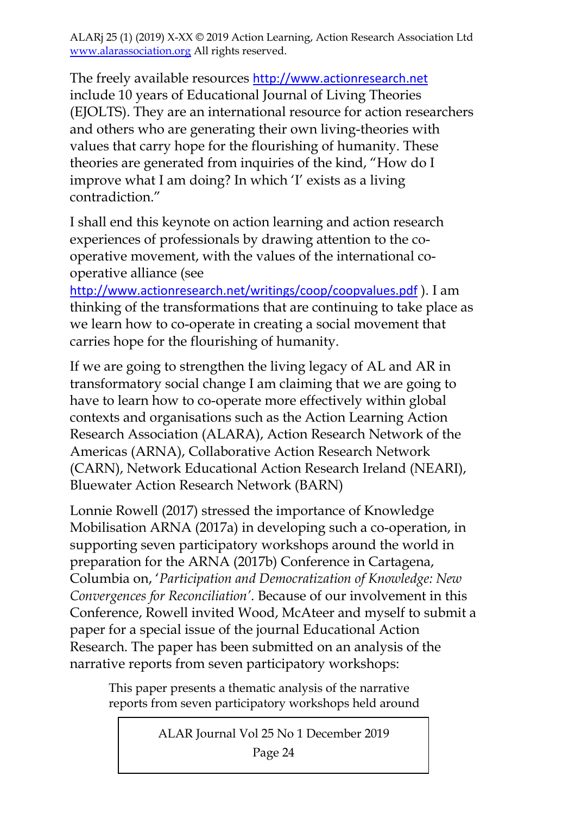The freely available resources http://www.actionresearch.net include 10 years of Educational Journal of Living Theories (EJOLTS). They are an international resource for action researchers and others who are generating their own living-theories with values that carry hope for the flourishing of humanity. These theories are generated from inquiries of the kind, "How do I improve what I am doing? In which 'I' exists as a living contradiction."

I shall end this keynote on action learning and action research experiences of professionals by drawing attention to the cooperative movement, with the values of the international cooperative alliance (see

http://www.actionresearch.net/writings/coop/coopvalues.pdf ). I am thinking of the transformations that are continuing to take place as we learn how to co-operate in creating a social movement that carries hope for the flourishing of humanity.

If we are going to strengthen the living legacy of AL and AR in transformatory social change I am claiming that we are going to have to learn how to co-operate more effectively within global contexts and organisations such as the Action Learning Action Research Association (ALARA), Action Research Network of the Americas (ARNA), Collaborative Action Research Network (CARN), Network Educational Action Research Ireland (NEARI), Bluewater Action Research Network (BARN)

Lonnie Rowell (2017) stressed the importance of Knowledge Mobilisation ARNA (2017a) in developing such a co-operation, in supporting seven participatory workshops around the world in preparation for the ARNA (2017b) Conference in Cartagena, Columbia on, '*Participation and Democratization of Knowledge: New Convergences for Reconciliation'*. Because of our involvement in this Conference, Rowell invited Wood, McAteer and myself to submit a paper for a special issue of the journal Educational Action Research. The paper has been submitted on an analysis of the narrative reports from seven participatory workshops:

This paper presents a thematic analysis of the narrative reports from seven participatory workshops held around

ALAR Journal Vol 25 No 1 December 2019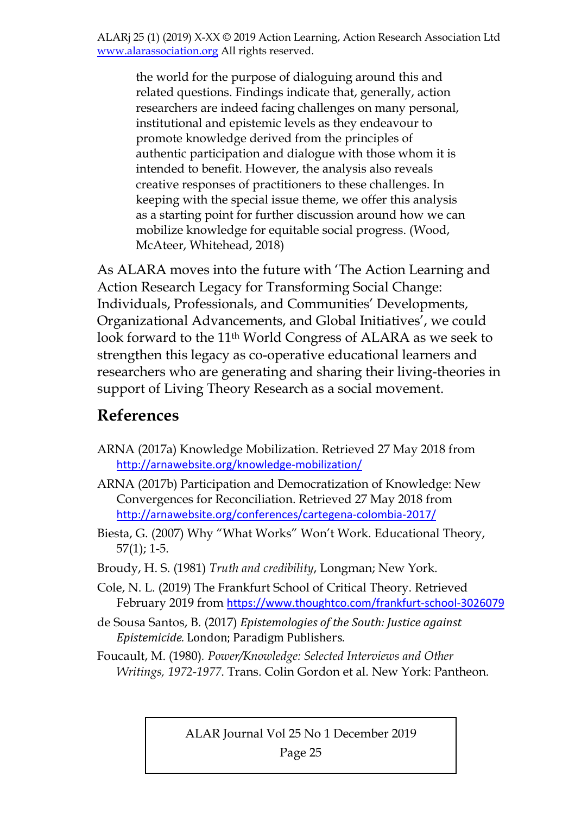the world for the purpose of dialoguing around this and related questions. Findings indicate that, generally, action researchers are indeed facing challenges on many personal, institutional and epistemic levels as they endeavour to promote knowledge derived from the principles of authentic participation and dialogue with those whom it is intended to benefit. However, the analysis also reveals creative responses of practitioners to these challenges. In keeping with the special issue theme, we offer this analysis as a starting point for further discussion around how we can mobilize knowledge for equitable social progress. (Wood, McAteer, Whitehead, 2018)

As ALARA moves into the future with 'The Action Learning and Action Research Legacy for Transforming Social Change: Individuals, Professionals, and Communities' Developments, Organizational Advancements, and Global Initiatives', we could look forward to the 11th World Congress of ALARA as we seek to strengthen this legacy as co-operative educational learners and researchers who are generating and sharing their living-theories in support of Living Theory Research as a social movement.

### **References**

- ARNA (2017a) Knowledge Mobilization. Retrieved 27 May 2018 from http://arnawebsite.org/knowledge-mobilization/
- ARNA (2017b) Participation and Democratization of Knowledge: New Convergences for Reconciliation. Retrieved 27 May 2018 from http://arnawebsite.org/conferences/cartegena‐colombia‐2017/
- Biesta, G. (2007) Why "What Works" Won't Work. Educational Theory, 57(1); 1-5.
- Broudy, H. S. (1981) *Truth and credibility*, Longman; New York.
- Cole, N. L. (2019) The Frankfurt School of Critical Theory. Retrieved February 2019 from https://www.thoughtco.com/frankfurt-school-3026079
- de Sousa Santos, B. (2017) *Epistemologies of the South: Justice against Epistemicide.* London; Paradigm Publishers.
- Foucault, M. (1980)*. Power/Knowledge: Selected Interviews and Other Writings, 1972-1977*. Trans. Colin Gordon et al. New York: Pantheon.

ALAR Journal Vol 25 No 1 December 2019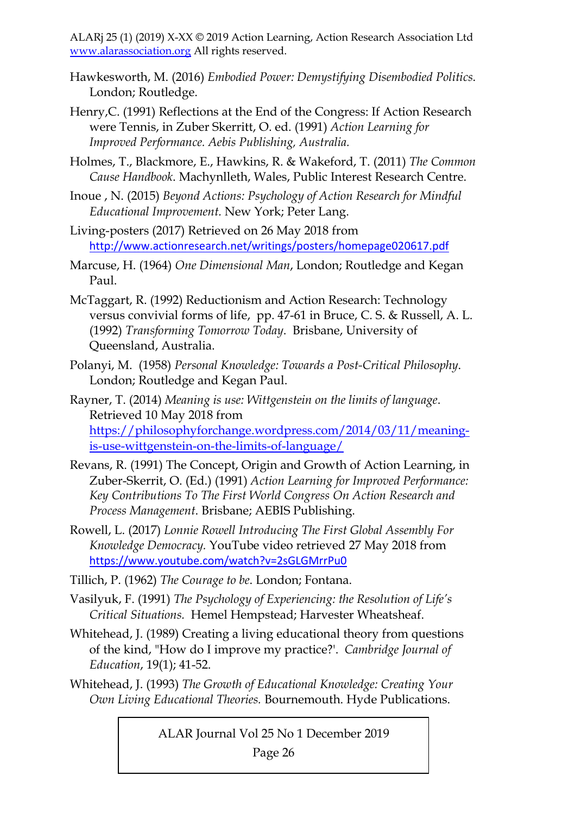- Hawkesworth, M. (2016) *Embodied Power: Demystifying Disembodied Politics*. London; Routledge.
- Henry,C. (1991) Reflections at the End of the Congress: If Action Research were Tennis, in Zuber Skerritt, O. ed. (1991) *Action Learning for Improved Performance. Aebis Publishing, Australia.*
- Holmes, T., Blackmore, E., Hawkins, R. & Wakeford, T. (2011) *The Common Cause Handbook*. Machynlleth, Wales, Public Interest Research Centre.
- Inoue , N. (2015) *Beyond Actions: Psychology of Action Research for Mindful Educational Improvement.* New York; Peter Lang.
- Living-posters (2017) Retrieved on 26 May 2018 from http://www.actionresearch.net/writings/posters/homepage020617.pdf
- Marcuse, H. (1964) *One Dimensional Man*, London; Routledge and Kegan Paul.
- McTaggart, R. (1992) Reductionism and Action Research: Technology versus convivial forms of life, pp. 47-61 in Bruce, C. S. & Russell, A. L. (1992) *Transforming Tomorrow Today*. Brisbane, University of Queensland, Australia.
- Polanyi, M. (1958) *Personal Knowledge: Towards a Post-Critical Philosophy*. London; Routledge and Kegan Paul.

Rayner, T. (2014) *Meaning is use: Wittgenstein on the limits of language*. Retrieved 10 May 2018 from https://philosophyforchange.wordpress.com/2014/03/11/meaningis-use-wittgenstein-on-the-limits-of-language/

- Revans, R. (1991) The Concept, Origin and Growth of Action Learning, in Zuber-Skerrit, O. (Ed.) (1991) *Action Learning for Improved Performance: Key Contributions To The First World Congress On Action Research and Process Management*. Brisbane; AEBIS Publishing.
- Rowell, L. (2017) *Lonnie Rowell Introducing The First Global Assembly For Knowledge Democracy.* YouTube video retrieved 27 May 2018 from https://www.youtube.com/watch?v=2sGLGMrrPu0
- Tillich, P. (1962) *The Courage to be*. London; Fontana.
- Vasilyuk, F. (1991) *The Psychology of Experiencing: the Resolution of Life's Critical Situations.* Hemel Hempstead; Harvester Wheatsheaf.
- Whitehead, J. (1989) Creating a living educational theory from questions of the kind, "How do I improve my practice?'. *Cambridge Journal of Education*, 19(1); 41-52.
- Whitehead, J. (1993) *The Growth of Educational Knowledge: Creating Your Own Living Educational Theories.* Bournemouth. Hyde Publications.

ALAR Journal Vol 25 No 1 December 2019